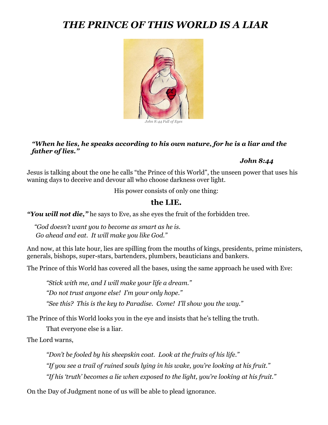# *THE PRINCE OF THIS WORLD IS A LIAR*



*John 8:44 Full of Eye* 

## *"When he lies, he speaks according to his own nature, for he is a liar and the father of lies."*

## *John 8:44*

Jesus is talking about the one he calls "the Prince of this World", the unseen power that uses his waning days to deceive and devour all who choose darkness over light.

His power consists of only one thing:

## **the LIE.**

*"You will not die,"* he says to Eve, as she eyes the fruit of the forbidden tree.

*"God doesn't want you to become as smart as he is. Go ahead and eat. It will make you like God."*

And now, at this late hour, lies are spilling from the mouths of kings, presidents, prime ministers, generals, bishops, super-stars, bartenders, plumbers, beauticians and bankers.

The Prince of this World has covered all the bases, using the same approach he used with Eve:

*"Stick with me, and I will make your life a dream." "Do not trust anyone else! I'm your only hope." "See this? This is the key to Paradise. Come! I'll show you the way."* 

The Prince of this World looks you in the eye and insists that he's telling the truth.

That everyone else is a liar.

The Lord warns,

*"Don't be fooled by his sheepskin coat. Look at the fruits of his life." "If you see a trail of ruined souls lying in his wake, you're looking at his fruit." "If his 'truth' becomes a lie when exposed to the light, you're looking at his fruit."*

On the Day of Judgment none of us will be able to plead ignorance.